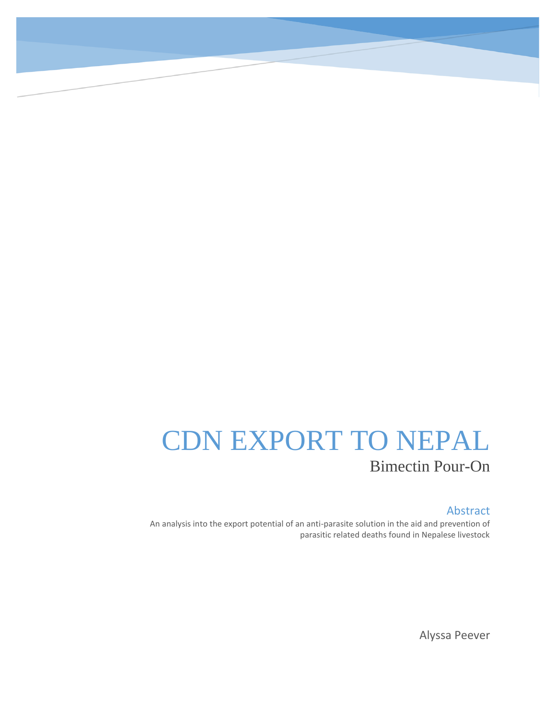# CDN EXPORT TO NEPAL Bimectin Pour-On

#### Abstract

An analysis into the export potential of an anti-parasite solution in the aid and prevention of parasitic related deaths found in Nepalese livestock

Alyssa Peever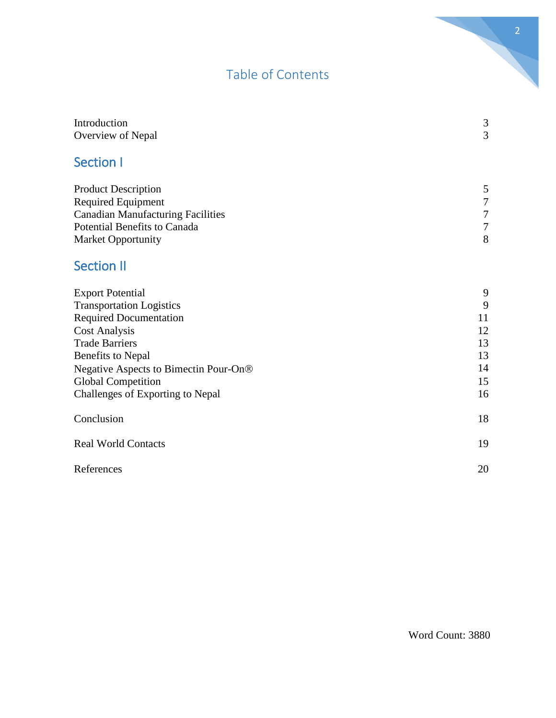# Table of Contents

| Introduction                             | 3                |
|------------------------------------------|------------------|
| Overview of Nepal                        | 3                |
| <b>Section I</b>                         |                  |
| <b>Product Description</b>               | 5                |
| <b>Required Equipment</b>                | $\boldsymbol{7}$ |
| <b>Canadian Manufacturing Facilities</b> | $\overline{7}$   |
| Potential Benefits to Canada             | $\overline{7}$   |
| Market Opportunity                       | 8                |
| <b>Section II</b>                        |                  |
| <b>Export Potential</b>                  | 9                |
| <b>Transportation Logistics</b>          | 9                |
| <b>Required Documentation</b>            | 11               |
| <b>Cost Analysis</b>                     | 12               |
| <b>Trade Barriers</b>                    | 13               |
| <b>Benefits to Nepal</b>                 | 13               |
| Negative Aspects to Bimectin Pour-On®    | 14               |
| <b>Global Competition</b>                | 15               |
| Challenges of Exporting to Nepal         | 16               |
| Conclusion                               | 18               |
| <b>Real World Contacts</b>               | 19               |
| References                               | 20               |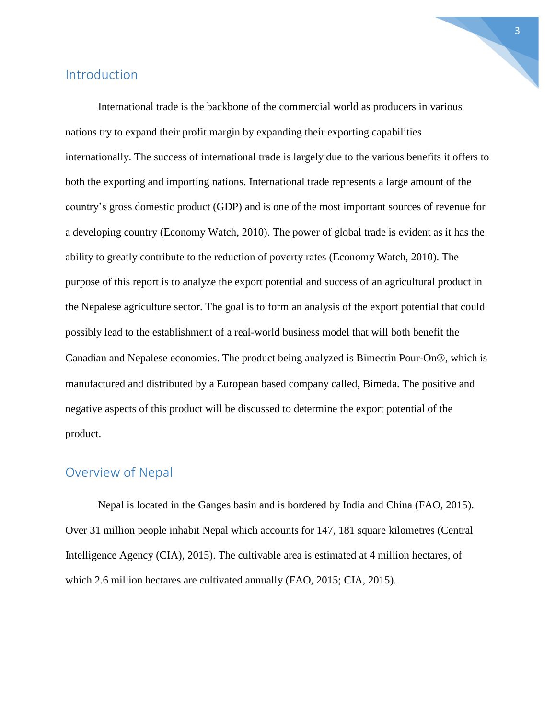# Introduction

International trade is the backbone of the commercial world as producers in various nations try to expand their profit margin by expanding their exporting capabilities internationally. The success of international trade is largely due to the various benefits it offers to both the exporting and importing nations. International trade represents a large amount of the country's gross domestic product (GDP) and is one of the most important sources of revenue for a developing country (Economy Watch, 2010). The power of global trade is evident as it has the ability to greatly contribute to the reduction of poverty rates (Economy Watch, 2010). The purpose of this report is to analyze the export potential and success of an agricultural product in the Nepalese agriculture sector. The goal is to form an analysis of the export potential that could possibly lead to the establishment of a real-world business model that will both benefit the Canadian and Nepalese economies. The product being analyzed is Bimectin Pour-On®, which is manufactured and distributed by a European based company called, Bimeda. The positive and negative aspects of this product will be discussed to determine the export potential of the product.

# Overview of Nepal

Nepal is located in the Ganges basin and is bordered by India and China (FAO, 2015). Over 31 million people inhabit Nepal which accounts for 147, 181 square kilometres (Central Intelligence Agency (CIA), 2015). The cultivable area is estimated at 4 million hectares, of which 2.6 million hectares are cultivated annually (FAO, 2015; CIA, 2015).

3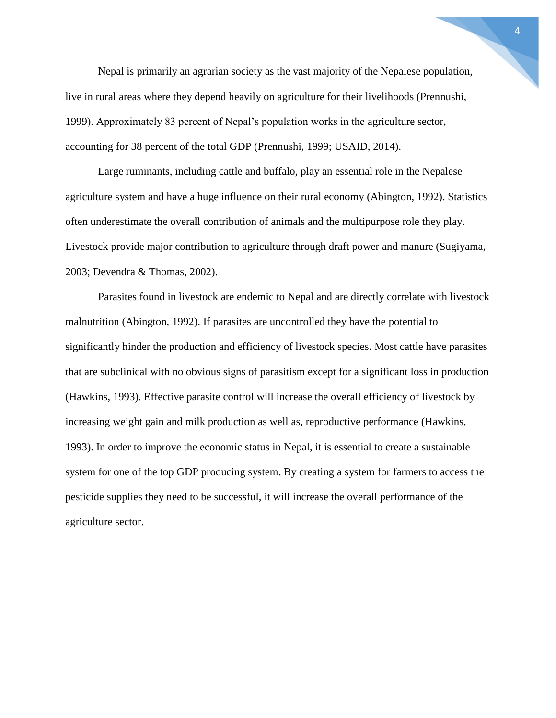Nepal is primarily an agrarian society as the vast majority of the Nepalese population, live in rural areas where they depend heavily on agriculture for their livelihoods (Prennushi, 1999). Approximately 83 percent of Nepal's population works in the agriculture sector, accounting for 38 percent of the total GDP (Prennushi, 1999; USAID, 2014).

Large ruminants, including cattle and buffalo, play an essential role in the Nepalese agriculture system and have a huge influence on their rural economy (Abington, 1992). Statistics often underestimate the overall contribution of animals and the multipurpose role they play. Livestock provide major contribution to agriculture through draft power and manure (Sugiyama, 2003; Devendra & Thomas, 2002).

Parasites found in livestock are endemic to Nepal and are directly correlate with livestock malnutrition (Abington, 1992). If parasites are uncontrolled they have the potential to significantly hinder the production and efficiency of livestock species. Most cattle have parasites that are subclinical with no obvious signs of parasitism except for a significant loss in production (Hawkins, 1993). Effective parasite control will increase the overall efficiency of livestock by increasing weight gain and milk production as well as, reproductive performance (Hawkins, 1993). In order to improve the economic status in Nepal, it is essential to create a sustainable system for one of the top GDP producing system. By creating a system for farmers to access the pesticide supplies they need to be successful, it will increase the overall performance of the agriculture sector.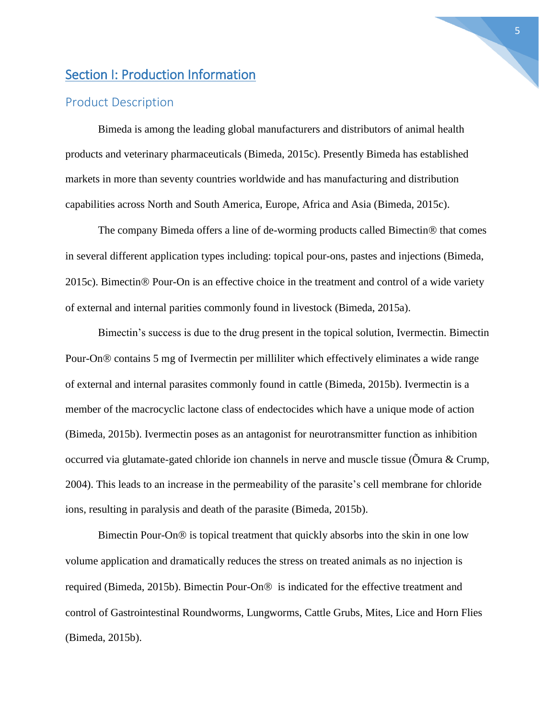# Section I: Production Information

#### Product Description

Bimeda is among the leading global manufacturers and distributors of animal health products and veterinary pharmaceuticals (Bimeda, 2015c). Presently Bimeda has established markets in more than seventy countries worldwide and has manufacturing and distribution capabilities across North and South America, Europe, Africa and Asia (Bimeda, 2015c).

The company Bimeda offers a line of de-worming products called Bimectin<sup>®</sup> that comes in several different application types including: topical pour-ons, pastes and injections (Bimeda, 2015c). Bimectin<sup>®</sup> Pour-On is an effective choice in the treatment and control of a wide variety of external and internal parities commonly found in livestock (Bimeda, 2015a).

Bimectin's success is due to the drug present in the topical solution, Ivermectin. Bimectin Pour-On<sup>®</sup> contains 5 mg of Ivermectin per milliliter which effectively eliminates a wide range of external and internal parasites commonly found in cattle (Bimeda, 2015b). Ivermectin is a member of the macrocyclic lactone class of endectocides which have a unique mode of action (Bimeda, 2015b). Ivermectin poses as an antagonist for neurotransmitter function as inhibition occurred via glutamate-gated chloride ion channels in nerve and muscle tissue (Õmura & Crump, 2004). This leads to an increase in the permeability of the parasite's cell membrane for chloride ions, resulting in paralysis and death of the parasite (Bimeda, 2015b).

Bimectin Pour-On<sup>®</sup> is topical treatment that quickly absorbs into the skin in one low volume application and dramatically reduces the stress on treated animals as no injection is required (Bimeda, 2015b). Bimectin Pour-On<sup>®</sup> is indicated for the effective treatment and control of Gastrointestinal Roundworms, Lungworms, Cattle Grubs, Mites, Lice and Horn Flies (Bimeda, 2015b).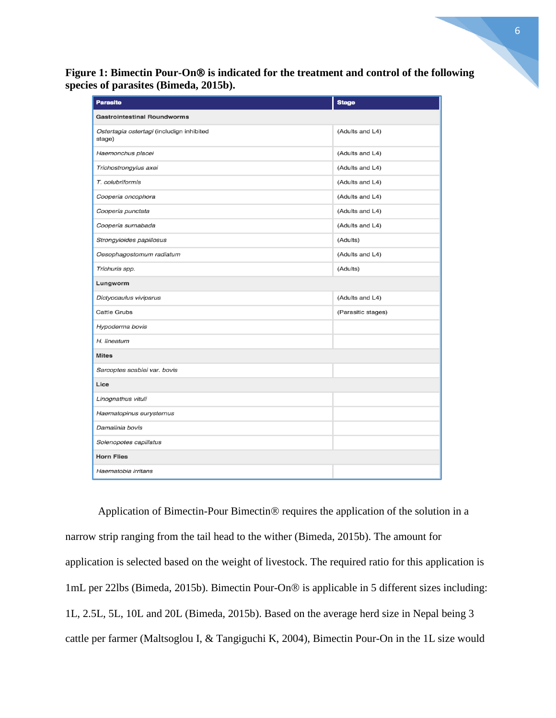Figure 1: Bimectin Pour-On<sup>®</sup> is indicated for the treatment and control of the following **species of parasites (Bimeda, 2015b).**

| <b>Parasite</b>                                     | <b>Stage</b>       |
|-----------------------------------------------------|--------------------|
| <b>Gastrointestinal Roundworms</b>                  |                    |
| Ostertagia ostertagi (includign inhibited<br>stage) | (Adults and L4)    |
| Haemonchus placei                                   | (Adults and L4)    |
| Trichostrongylus axei                               | (Adults and L4)    |
| T. colubriformis                                    | (Adults and L4)    |
| Cooperia oncophora                                  | (Adults and L4)    |
| Cooperia punctata                                   | (Adults and L4)    |
| Cooperia surnabada                                  | (Adults and L4)    |
| Strongyloides papillosus                            | (Adults)           |
| Oesophagostomum radiatum                            | (Adults and L4)    |
| Trichuris spp.                                      | (Adults)           |
| Lungworm                                            |                    |
| Dictyocaulus viviparus                              | (Adults and L4)    |
| Cattle Grubs                                        | (Parasitic stages) |
| Hypoderma bovis                                     |                    |
| H. lineatum                                         |                    |
| <b>Mites</b>                                        |                    |
| Sarcoptes scabiei var. bovis                        |                    |
| Lice                                                |                    |
| Linognathus vituli                                  |                    |
| Haematopinus eurysternus                            |                    |
| Damalinia bovis                                     |                    |
| Solenopotes capillatus                              |                    |
| <b>Horn Flies</b>                                   |                    |
| Haematobia irritans                                 |                    |

Application of Bimectin-Pour Bimectin® requires the application of the solution in a narrow strip ranging from the tail head to the wither (Bimeda, 2015b). The amount for application is selected based on the weight of livestock. The required ratio for this application is 1mL per 22lbs (Bimeda, 2015b). Bimectin Pour-On® is applicable in 5 different sizes including: 1L, 2.5L, 5L, 10L and 20L (Bimeda, 2015b). Based on the average herd size in Nepal being 3 cattle per farmer (Maltsoglou I, & Tangiguchi K, 2004), Bimectin Pour-On in the 1L size would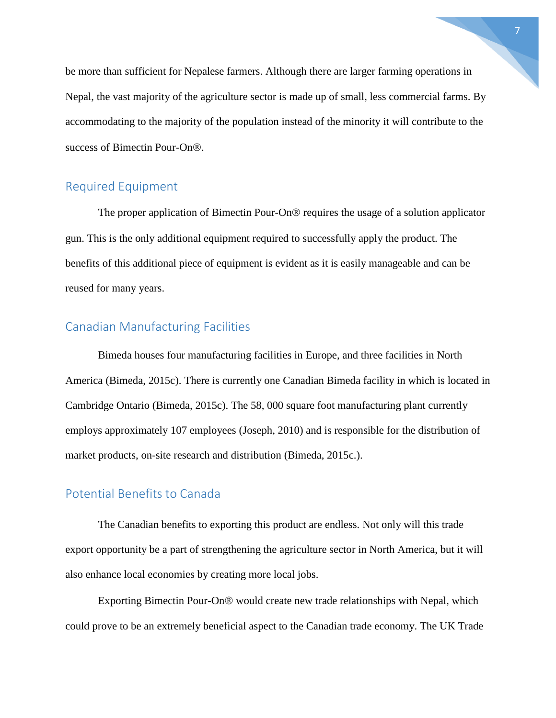be more than sufficient for Nepalese farmers. Although there are larger farming operations in Nepal, the vast majority of the agriculture sector is made up of small, less commercial farms. By accommodating to the majority of the population instead of the minority it will contribute to the success of Bimectin Pour-On<sup>®</sup>.

# Required Equipment

The proper application of Bimectin Pour-On $\mathcal D$  requires the usage of a solution applicator gun. This is the only additional equipment required to successfully apply the product. The benefits of this additional piece of equipment is evident as it is easily manageable and can be reused for many years.

# Canadian Manufacturing Facilities

Bimeda houses four manufacturing facilities in Europe, and three facilities in North America (Bimeda, 2015c). There is currently one Canadian Bimeda facility in which is located in Cambridge Ontario (Bimeda, 2015c). The 58, 000 square foot manufacturing plant currently employs approximately 107 employees (Joseph, 2010) and is responsible for the distribution of market products, on-site research and distribution (Bimeda, 2015c.).

#### Potential Benefits to Canada

The Canadian benefits to exporting this product are endless. Not only will this trade export opportunity be a part of strengthening the agriculture sector in North America, but it will also enhance local economies by creating more local jobs.

Exporting Bimectin Pour-On<sup>®</sup> would create new trade relationships with Nepal, which could prove to be an extremely beneficial aspect to the Canadian trade economy. The UK Trade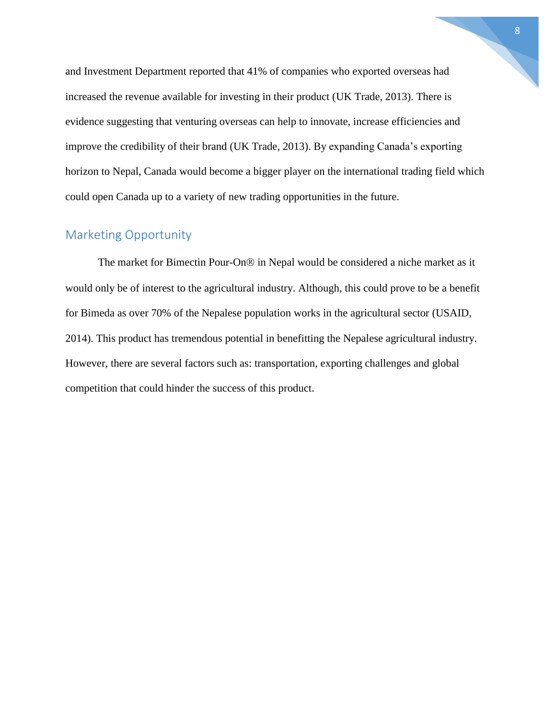and Investment Department reported that 41% of companies who exported overseas had increased the revenue available for investing in their product (UK Trade, 2013). There is evidence suggesting that venturing overseas can help to innovate, increase efficiencies and improve the credibility of their brand (UK Trade, 2013). By expanding Canada's exporting horizon to Nepal, Canada would become a bigger player on the international trading field which could open Canada up to a variety of new trading opportunities in the future.

# Marketing Opportunity

The market for Bimectin Pour-On® in Nepal would be considered a niche market as it would only be of interest to the agricultural industry. Although, this could prove to be a benefit for Bimeda as over 70% of the Nepalese population works in the agricultural sector (USAID, 2014). This product has tremendous potential in benefitting the Nepalese agricultural industry. However, there are several factors such as: transportation, exporting challenges and global competition that could hinder the success of this product.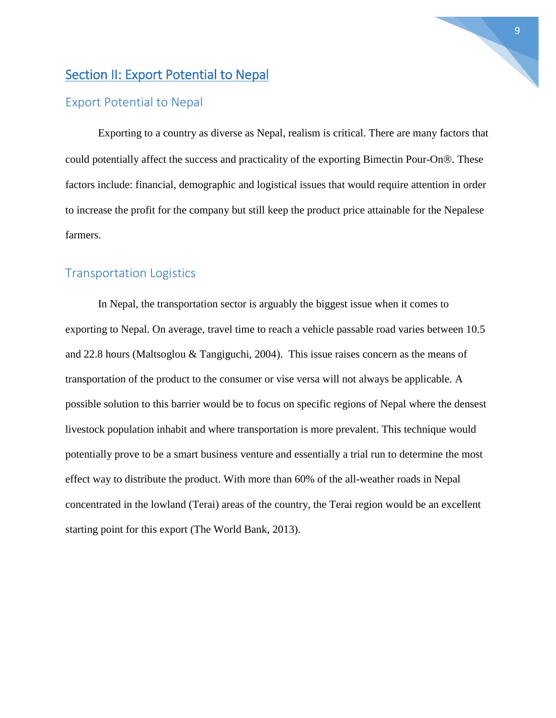# Section II: Export Potential to Nepal

## Export Potential to Nepal

Exporting to a country as diverse as Nepal, realism is critical. There are many factors that could potentially affect the success and practicality of the exporting Bimectin Pour-On<sup>®</sup>. These factors include: financial, demographic and logistical issues that would require attention in order to increase the profit for the company but still keep the product price attainable for the Nepalese farmers.

#### Transportation Logistics

In Nepal, the transportation sector is arguably the biggest issue when it comes to exporting to Nepal. On average, travel time to reach a vehicle passable road varies between 10.5 and 22.8 hours (Maltsoglou & Tangiguchi, 2004). This issue raises concern as the means of transportation of the product to the consumer or vise versa will not always be applicable. A possible solution to this barrier would be to focus on specific regions of Nepal where the densest livestock population inhabit and where transportation is more prevalent. This technique would potentially prove to be a smart business venture and essentially a trial run to determine the most effect way to distribute the product. With more than 60% of the all-weather roads in Nepal concentrated in the lowland (Terai) areas of the country, the Terai region would be an excellent starting point for this export (The World Bank, 2013).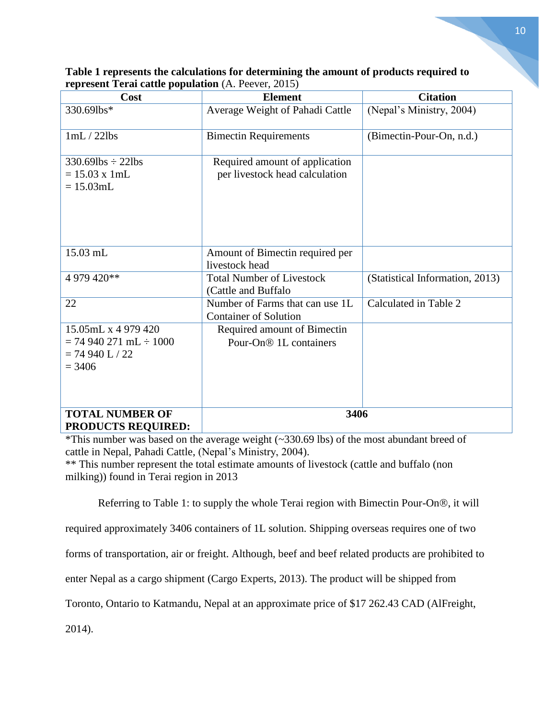| Cost                                                                               | <b>Element</b>                                                    | <b>Citation</b>                 |
|------------------------------------------------------------------------------------|-------------------------------------------------------------------|---------------------------------|
| 330.69lbs*                                                                         | Average Weight of Pahadi Cattle                                   | (Nepal's Ministry, 2004)        |
| 1mL/22lbs                                                                          | <b>Bimectin Requirements</b>                                      | (Bimectin-Pour-On, n.d.)        |
| $330.69$ lbs $\div$ 22lbs<br>$= 15.03$ x 1mL<br>$= 15.03$ mL                       | Required amount of application<br>per livestock head calculation  |                                 |
| 15.03 mL                                                                           | Amount of Bimectin required per<br>livestock head                 |                                 |
| 4 979 420**                                                                        | <b>Total Number of Livestock</b><br>(Cattle and Buffalo           | (Statistical Information, 2013) |
| 22                                                                                 | Number of Farms that can use 1L<br><b>Container of Solution</b>   | Calculated in Table 2           |
| 15.05mL x 4 979 420<br>$= 74940271$ mL $\div 1000$<br>$= 74940 L / 22$<br>$= 3406$ | Required amount of Bimectin<br>Pour-On <sup>®</sup> 1L containers |                                 |
| <b>TOTAL NUMBER OF</b><br><b>PRODUCTS REQUIRED:</b>                                | 3406                                                              |                                 |

| Table 1 represents the calculations for determining the amount of products required to |
|----------------------------------------------------------------------------------------|
| <b>represent Terai cattle population</b> (A. Peever, 2015)                             |

\*This number was based on the average weight (~330.69 lbs) of the most abundant breed of cattle in Nepal, Pahadi Cattle, (Nepal's Ministry, 2004).

\*\* This number represent the total estimate amounts of livestock (cattle and buffalo (non milking)) found in Terai region in 2013

Referring to Table 1: to supply the whole Terai region with Bimectin Pour-On®, it will

required approximately 3406 containers of 1L solution. Shipping overseas requires one of two

forms of transportation, air or freight. Although, beef and beef related products are prohibited to

enter Nepal as a cargo shipment (Cargo Experts, 2013). The product will be shipped from

Toronto, Ontario to Katmandu, Nepal at an approximate price of \$17 262.43 CAD (AlFreight,

2014).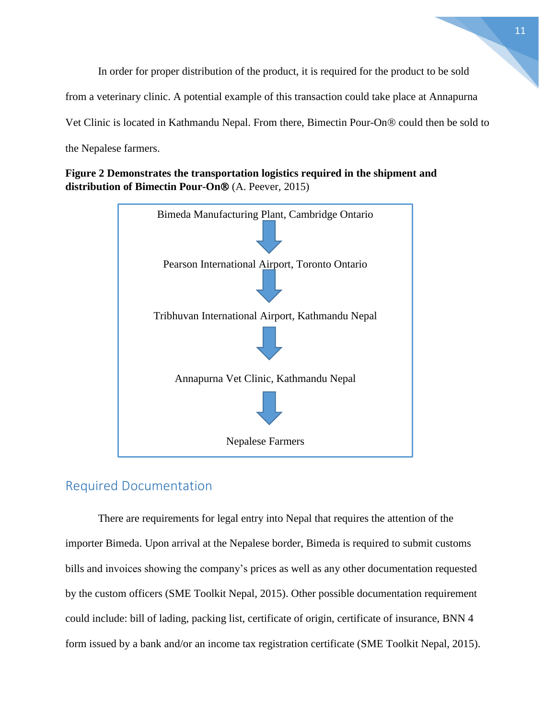In order for proper distribution of the product, it is required for the product to be sold from a veterinary clinic. A potential example of this transaction could take place at Annapurna Vet Clinic is located in Kathmandu Nepal. From there, Bimectin Pour-On<sup>®</sup> could then be sold to the Nepalese farmers.

**Figure 2 Demonstrates the transportation logistics required in the shipment and distribution of Bimectin Pour-On®** (A. Peever, 2015)



# Required Documentation

There are requirements for legal entry into Nepal that requires the attention of the importer Bimeda. Upon arrival at the Nepalese border, Bimeda is required to submit customs bills and invoices showing the company's prices as well as any other documentation requested by the custom officers (SME Toolkit Nepal, 2015). Other possible documentation requirement could include: bill of lading, packing list, certificate of origin, certificate of insurance, BNN 4 form issued by a bank and/or an income tax registration certificate (SME Toolkit Nepal, 2015).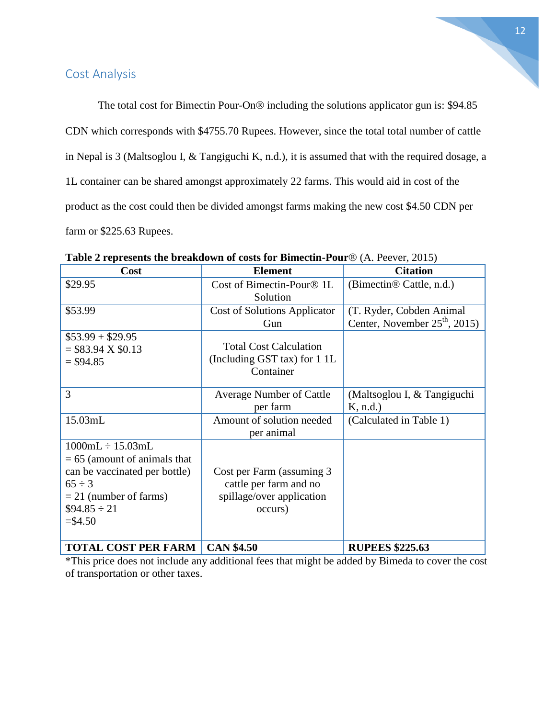# Cost Analysis

The total cost for Bimectin Pour-On<sup>®</sup> including the solutions applicator gun is: \$94.85 CDN which corresponds with \$4755.70 Rupees. However, since the total total number of cattle in Nepal is 3 (Maltsoglou I, & Tangiguchi K, n.d.), it is assumed that with the required dosage, a 1L container can be shared amongst approximately 22 farms. This would aid in cost of the product as the cost could then be divided amongst farms making the new cost \$4.50 CDN per farm or \$225.63 Rupees.

| Cost                           | <b>Element</b>                      | <b>Citation</b>                      |
|--------------------------------|-------------------------------------|--------------------------------------|
| \$29.95                        | Cost of Bimectin-Pour® 1L           | (Bimectin <sup>®</sup> Cattle, n.d.) |
|                                | Solution                            |                                      |
| \$53.99                        | <b>Cost of Solutions Applicator</b> | (T. Ryder, Cobden Animal             |
|                                | Gun                                 | Center, November $25th$ , 2015)      |
| $$53.99 + $29.95$              |                                     |                                      |
| $= $83.94 \text{ X } $0.13$    | <b>Total Cost Calculation</b>       |                                      |
| $=$ \$94.85                    | (Including GST tax) for 1 1L        |                                      |
|                                | Container                           |                                      |
| 3                              | <b>Average Number of Cattle</b>     | (Maltsoglou I, & Tangiguchi          |
|                                | per farm                            | K, n.d.                              |
| 15.03mL                        | Amount of solution needed           | (Calculated in Table 1)              |
|                                | per animal                          |                                      |
| $1000mL \div 15.03mL$          |                                     |                                      |
| $= 65$ (amount of animals that |                                     |                                      |
| can be vaccinated per bottle)  | Cost per Farm (assuming 3)          |                                      |
| $65 \div 3$                    | cattle per farm and no              |                                      |
| $= 21$ (number of farms)       | spillage/over application           |                                      |
| $$94.85 \div 21$               | occurs)                             |                                      |
| $=$ \$4.50                     |                                     |                                      |
|                                |                                     |                                      |
| <b>TOTAL COST PER FARM</b>     | <b>CAN \$4.50</b>                   | <b>RUPEES \$225.63</b>               |

**Table 2 represents the breakdown of costs for Bimectin-Pour** (A. Peever, 2015)

\*This price does not include any additional fees that might be added by Bimeda to cover the cost of transportation or other taxes.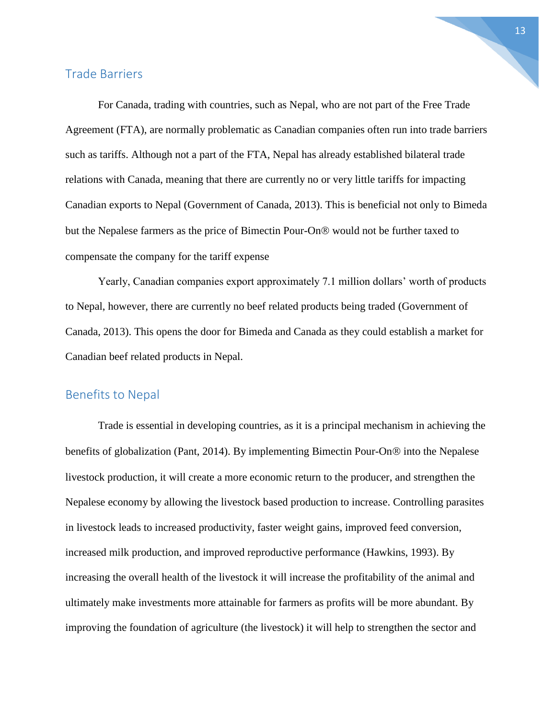#### Trade Barriers

For Canada, trading with countries, such as Nepal, who are not part of the Free Trade Agreement (FTA), are normally problematic as Canadian companies often run into trade barriers such as tariffs. Although not a part of the FTA, Nepal has already established bilateral trade relations with Canada, meaning that there are currently no or very little tariffs for impacting Canadian exports to Nepal (Government of Canada, 2013). This is beneficial not only to Bimeda but the Nepalese farmers as the price of Bimectin Pour-On® would not be further taxed to compensate the company for the tariff expense

Yearly, Canadian companies export approximately 7.1 million dollars' worth of products to Nepal, however, there are currently no beef related products being traded (Government of Canada, 2013). This opens the door for Bimeda and Canada as they could establish a market for Canadian beef related products in Nepal.

#### Benefits to Nepal

Trade is essential in developing countries, as it is a principal mechanism in achieving the benefits of globalization (Pant, 2014). By implementing Bimectin Pour-On $\otimes$  into the Nepalese livestock production, it will create a more economic return to the producer, and strengthen the Nepalese economy by allowing the livestock based production to increase. Controlling parasites in livestock leads to increased productivity, faster weight gains, improved feed conversion, increased milk production, and improved reproductive performance (Hawkins, 1993). By increasing the overall health of the livestock it will increase the profitability of the animal and ultimately make investments more attainable for farmers as profits will be more abundant. By improving the foundation of agriculture (the livestock) it will help to strengthen the sector and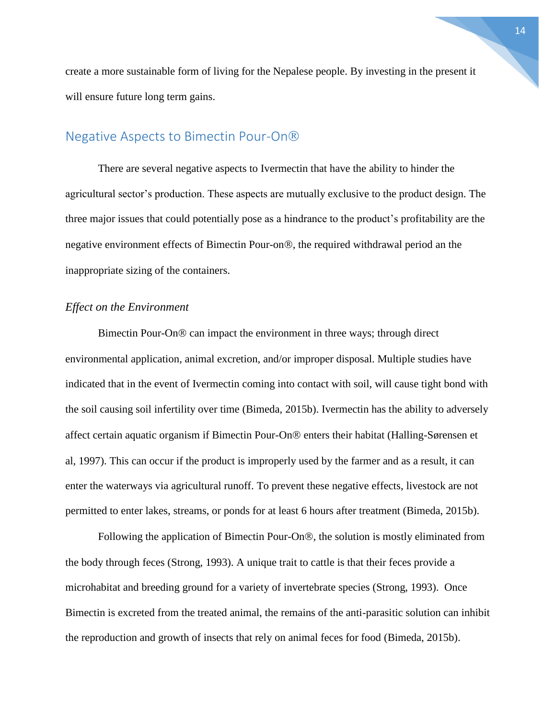create a more sustainable form of living for the Nepalese people. By investing in the present it will ensure future long term gains.

# Negative Aspects to Bimectin Pour-On

There are several negative aspects to Ivermectin that have the ability to hinder the agricultural sector's production. These aspects are mutually exclusive to the product design. The three major issues that could potentially pose as a hindrance to the product's profitability are the negative environment effects of Bimectin Pour-on<sup>®</sup>, the required withdrawal period an the inappropriate sizing of the containers.

#### *Effect on the Environment*

Bimectin Pour-On<sup>®</sup> can impact the environment in three ways; through direct environmental application, animal excretion, and/or improper disposal. Multiple studies have indicated that in the event of Ivermectin coming into contact with soil, will cause tight bond with the soil causing soil infertility over time (Bimeda, 2015b). Ivermectin has the ability to adversely affect certain aquatic organism if Bimectin Pour-On<sup>®</sup> enters their habitat (Halling-Sørensen et al, 1997). This can occur if the product is improperly used by the farmer and as a result, it can enter the waterways via agricultural runoff. To prevent these negative effects, livestock are not permitted to enter lakes, streams, or ponds for at least 6 hours after treatment (Bimeda, 2015b).

Following the application of Bimectin Pour-On®, the solution is mostly eliminated from the body through feces (Strong, 1993). A unique trait to cattle is that their feces provide a microhabitat and breeding ground for a variety of invertebrate species (Strong, 1993). Once Bimectin is excreted from the treated animal, the remains of the anti-parasitic solution can inhibit the reproduction and growth of insects that rely on animal feces for food (Bimeda, 2015b).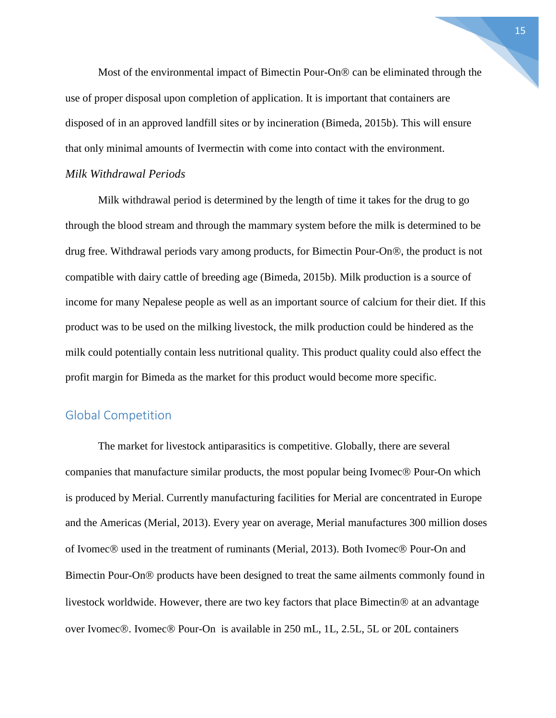Most of the environmental impact of Bimectin Pour-On<sup>®</sup> can be eliminated through the use of proper disposal upon completion of application. It is important that containers are disposed of in an approved landfill sites or by incineration (Bimeda, 2015b). This will ensure that only minimal amounts of Ivermectin with come into contact with the environment.

#### *Milk Withdrawal Periods*

Milk withdrawal period is determined by the length of time it takes for the drug to go through the blood stream and through the mammary system before the milk is determined to be drug free. Withdrawal periods vary among products, for Bimectin Pour-On®, the product is not compatible with dairy cattle of breeding age (Bimeda, 2015b). Milk production is a source of income for many Nepalese people as well as an important source of calcium for their diet. If this product was to be used on the milking livestock, the milk production could be hindered as the milk could potentially contain less nutritional quality. This product quality could also effect the profit margin for Bimeda as the market for this product would become more specific.

#### Global Competition

The market for livestock antiparasitics is competitive. Globally, there are several companies that manufacture similar products, the most popular being Ivomec<sup>®</sup> Pour-On which is produced by Merial. Currently manufacturing facilities for Merial are concentrated in Europe and the Americas (Merial, 2013). Every year on average, Merial manufactures 300 million doses of Ivomec® used in the treatment of ruminants (Merial, 2013). Both Ivomec® Pour-On and Bimectin Pour-On<sup>®</sup> products have been designed to treat the same ailments commonly found in livestock worldwide. However, there are two key factors that place Bimectin<sup>®</sup> at an advantage over Ivomec®. Ivomec® Pour-On is available in 250 mL, 1L, 2.5L, 5L or 20L containers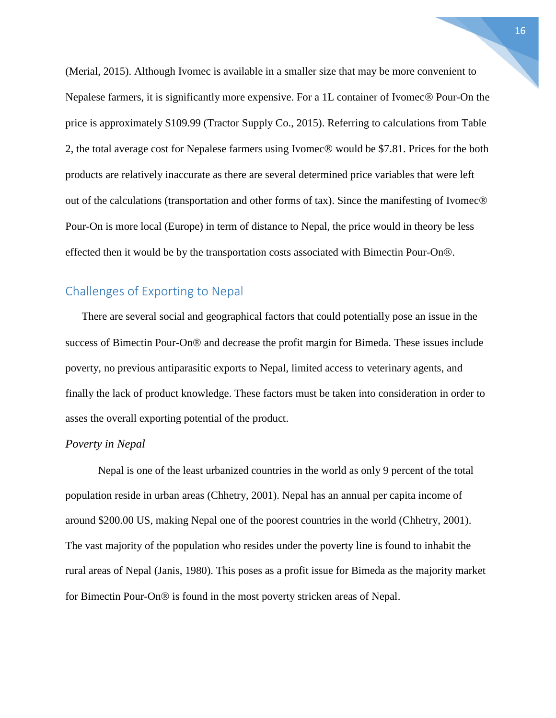(Merial, 2015). Although Ivomec is available in a smaller size that may be more convenient to Nepalese farmers, it is significantly more expensive. For a 1L container of Ivomec<sup>®</sup> Pour-On the price is approximately \$109.99 (Tractor Supply Co., 2015). Referring to calculations from Table 2, the total average cost for Nepalese farmers using Ivomec® would be \$7.81. Prices for the both products are relatively inaccurate as there are several determined price variables that were left out of the calculations (transportation and other forms of tax). Since the manifesting of Ivomec $\circledR$ Pour-On is more local (Europe) in term of distance to Nepal, the price would in theory be less effected then it would be by the transportation costs associated with Bimectin Pour-On.®

#### Challenges of Exporting to Nepal

There are several social and geographical factors that could potentially pose an issue in the success of Bimectin Pour-On<sup>®</sup> and decrease the profit margin for Bimeda. These issues include poverty, no previous antiparasitic exports to Nepal, limited access to veterinary agents, and finally the lack of product knowledge. These factors must be taken into consideration in order to asses the overall exporting potential of the product.

#### *Poverty in Nepal*

Nepal is one of the least urbanized countries in the world as only 9 percent of the total population reside in urban areas (Chhetry, 2001). Nepal has an annual per capita income of around \$200.00 US, making Nepal one of the poorest countries in the world (Chhetry, 2001). The vast majority of the population who resides under the poverty line is found to inhabit the rural areas of Nepal (Janis, 1980). This poses as a profit issue for Bimeda as the majority market for Bimectin Pour-On<sup>®</sup> is found in the most poverty stricken areas of Nepal.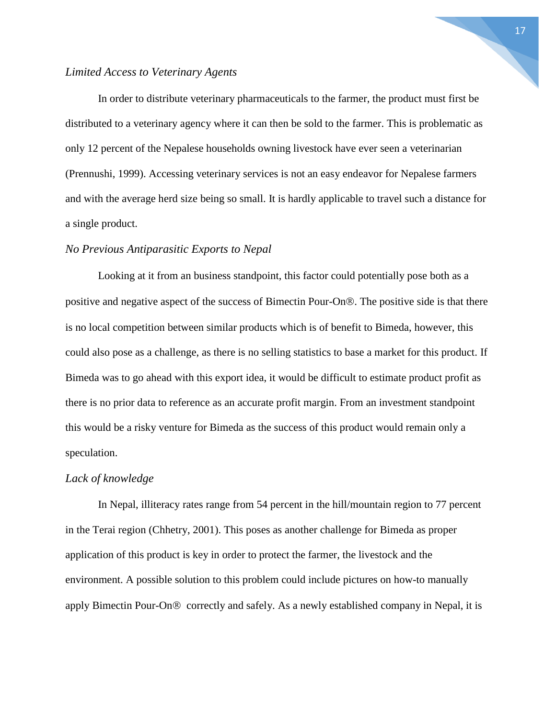#### *Limited Access to Veterinary Agents*

In order to distribute veterinary pharmaceuticals to the farmer, the product must first be distributed to a veterinary agency where it can then be sold to the farmer. This is problematic as only 12 percent of the Nepalese households owning livestock have ever seen a veterinarian (Prennushi, 1999). Accessing veterinary services is not an easy endeavor for Nepalese farmers and with the average herd size being so small. It is hardly applicable to travel such a distance for a single product.

#### *No Previous Antiparasitic Exports to Nepal*

Looking at it from an business standpoint, this factor could potentially pose both as a positive and negative aspect of the success of Bimectin Pour-On<sup>®</sup>. The positive side is that there is no local competition between similar products which is of benefit to Bimeda, however, this could also pose as a challenge, as there is no selling statistics to base a market for this product. If Bimeda was to go ahead with this export idea, it would be difficult to estimate product profit as there is no prior data to reference as an accurate profit margin. From an investment standpoint this would be a risky venture for Bimeda as the success of this product would remain only a speculation.

#### *Lack of knowledge*

In Nepal, illiteracy rates range from 54 percent in the hill/mountain region to 77 percent in the Terai region (Chhetry, 2001). This poses as another challenge for Bimeda as proper application of this product is key in order to protect the farmer, the livestock and the environment. A possible solution to this problem could include pictures on how-to manually apply Bimectin Pour-On $\otimes$  correctly and safely. As a newly established company in Nepal, it is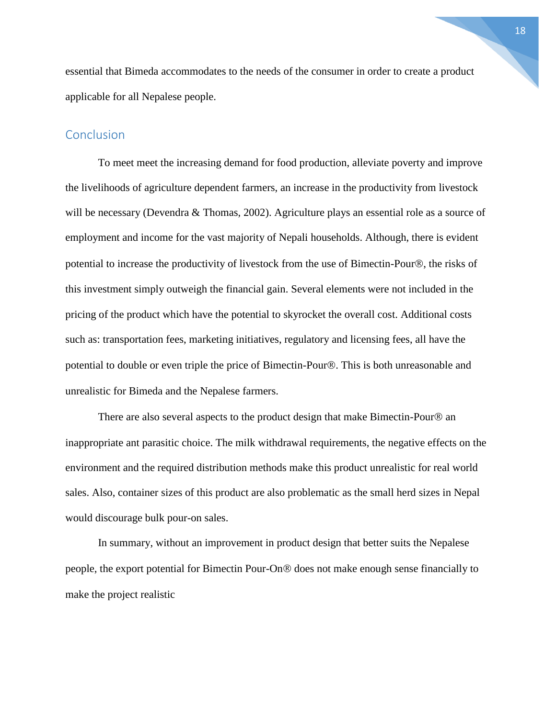essential that Bimeda accommodates to the needs of the consumer in order to create a product applicable for all Nepalese people.

#### **Conclusion**

To meet meet the increasing demand for food production, alleviate poverty and improve the livelihoods of agriculture dependent farmers, an increase in the productivity from livestock will be necessary (Devendra & Thomas, 2002). Agriculture plays an essential role as a source of employment and income for the vast majority of Nepali households. Although, there is evident potential to increase the productivity of livestock from the use of Bimectin-Pour®, the risks of this investment simply outweigh the financial gain. Several elements were not included in the pricing of the product which have the potential to skyrocket the overall cost. Additional costs such as: transportation fees, marketing initiatives, regulatory and licensing fees, all have the potential to double or even triple the price of Bimectin-Pour®. This is both unreasonable and unrealistic for Bimeda and the Nepalese farmers.

There are also several aspects to the product design that make Bimectin-Pour $\circledR$  an inappropriate ant parasitic choice. The milk withdrawal requirements, the negative effects on the environment and the required distribution methods make this product unrealistic for real world sales. Also, container sizes of this product are also problematic as the small herd sizes in Nepal would discourage bulk pour-on sales.

In summary, without an improvement in product design that better suits the Nepalese people, the export potential for Bimectin Pour-On<sup>®</sup> does not make enough sense financially to make the project realistic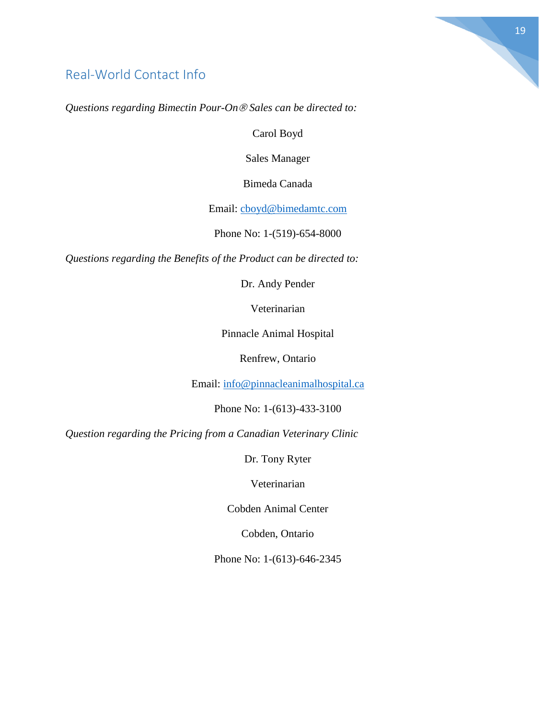# Real-World Contact Info

*Questions regarding Bimectin Pour-On Sales can be directed to:*

Carol Boyd

Sales Manager

Bimeda Canada

Email: [cboyd@bimedamtc.com](mailto:cboyd@bimedamtc.com)

Phone No: 1-(519)-654-8000

*Questions regarding the Benefits of the Product can be directed to:*

Dr. Andy Pender

Veterinarian

Pinnacle Animal Hospital

Renfrew, Ontario

Email: [info@pinnacleanimalhospital.ca](mailto:info@pinnacleah.com)

Phone No: 1-(613)-433-3100

*Question regarding the Pricing from a Canadian Veterinary Clinic*

Dr. Tony Ryter

Veterinarian

Cobden Animal Center

Cobden, Ontario

Phone No: 1-(613)-646-2345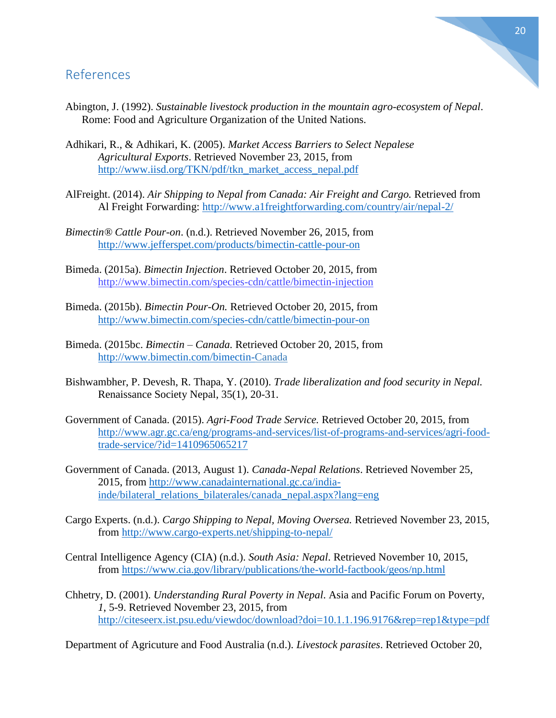# References

- Abington, J. (1992). *Sustainable livestock production in the mountain agro-ecosystem of Nepal*. Rome: Food and Agriculture Organization of the United Nations.
- Adhikari, R., & Adhikari, K. (2005). *Market Access Barriers to Select Nepalese Agricultural Exports*. Retrieved November 23, 2015, from [http://www.iisd.org/TKN/pdf/tkn\\_market\\_access\\_nepal.pdf](http://www.iisd.org/TKN/pdf/tkn_market_access_nepal.pdf)
- AlFreight. (2014). *Air Shipping to Nepal from Canada: Air Freight and Cargo.* Retrieved from Al Freight Forwarding:<http://www.a1freightforwarding.com/country/air/nepal-2/>
- *Bimectin® Cattle Pour-on*. (n.d.). Retrieved November 26, 2015, from <http://www.jefferspet.com/products/bimectin-cattle-pour-on>
- Bimeda. (2015a). *Bimectin Injection*. Retrieved October 20, 2015, from <http://www.bimectin.com/species-cdn/cattle/bimectin-injection>
- Bimeda. (2015b). *Bimectin Pour-On.* Retrieved October 20, 2015, from <http://www.bimectin.com/species-cdn/cattle/bimectin-pour-on>
- Bimeda. (2015bc. *Bimectin – Canada.* Retrieved October 20, 2015, from [http://www.bimectin.com/bimectin-C](http://www.bimectin.com/bimectin-)anada
- Bishwambher, P. Devesh, R. Thapa, Y. (2010). *Trade liberalization and food security in Nepal.* Renaissance Society Nepal, 35(1), 20-31.
- Government of Canada. (2015). *Agri-Food Trade Service.* Retrieved October 20, 2015, from [http://www.agr.gc.ca/eng/programs-and-services/list-of-programs-and-services/agri-food](http://www.agr.gc.ca/eng/programs-and-services/list-of-programs-and-services/agri-food-trade-service/?id=1410965065217)[trade-service/?id=1410965065217](http://www.agr.gc.ca/eng/programs-and-services/list-of-programs-and-services/agri-food-trade-service/?id=1410965065217)
- Government of Canada. (2013, August 1). *Canada-Nepal Relations*. Retrieved November 25, 2015, from [http://www.canadainternational.gc.ca/india](http://www.canadainternational.gc.ca/india-inde/bilateral_relations_bilaterales/canada_nepal.aspx?lang=eng)[inde/bilateral\\_relations\\_bilaterales/canada\\_nepal.aspx?lang=eng](http://www.canadainternational.gc.ca/india-inde/bilateral_relations_bilaterales/canada_nepal.aspx?lang=eng)
- Cargo Experts. (n.d.). *Cargo Shipping to Nepal, Moving Oversea.* Retrieved November 23, 2015, from<http://www.cargo-experts.net/shipping-to-nepal/>
- Central Intelligence Agency (CIA) (n.d.). *South Asia: Nepal*. Retrieved November 10, 2015, from<https://www.cia.gov/library/publications/the-world-factbook/geos/np.html>
- Chhetry, D. (2001). *Understanding Rural Poverty in Nepal*. Asia and Pacific Forum on Poverty, *1*, 5-9. Retrieved November 23, 2015, from <http://citeseerx.ist.psu.edu/viewdoc/download?doi=10.1.1.196.9176&rep=rep1&type=pdf>

Department of Agricuture and Food Australia (n.d.). *Livestock parasites*. Retrieved October 20,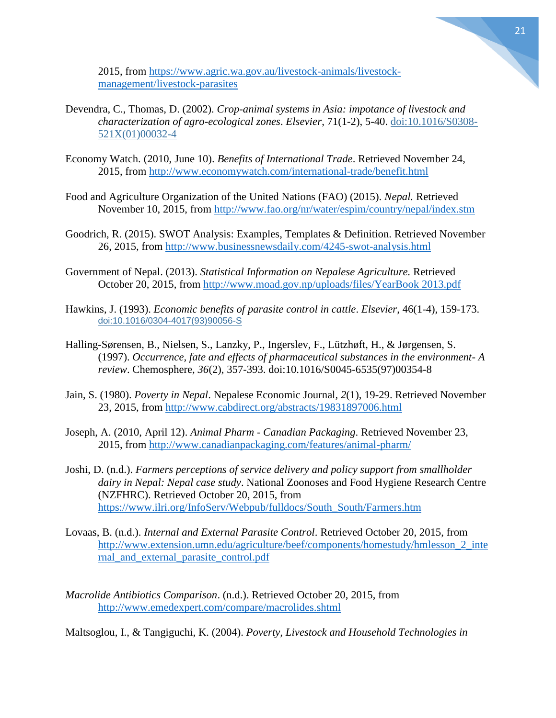2015, from [https://www.agric.wa.gov.au/livestock-animals/livestock](https://www.agric.wa.gov.au/livestock-animals/livestock-management/livestock-parasites)[management/livestock-parasites](https://www.agric.wa.gov.au/livestock-animals/livestock-management/livestock-parasites)

- Devendra, C., Thomas, D. (2002). *Crop-animal systems in Asia: impotance of livestock and characterization of agro-ecological zones*. *Elsevier*, 71(1-2), 5-40. [doi:10.1016/S0308-](http://dx.doi.org/10.1016/S0308-521X(01)00032-4) [521X\(01\)00032-4](http://dx.doi.org/10.1016/S0308-521X(01)00032-4)
- Economy Watch. (2010, June 10). *Benefits of International Trade*. Retrieved November 24, 2015, from<http://www.economywatch.com/international-trade/benefit.html>
- Food and Agriculture Organization of the United Nations (FAO) (2015). *Nepal.* Retrieved November 10, 2015, from<http://www.fao.org/nr/water/espim/country/nepal/index.stm>
- Goodrich, R. (2015). SWOT Analysis: Examples, Templates & Definition. Retrieved November 26, 2015, from<http://www.businessnewsdaily.com/4245-swot-analysis.html>
- Government of Nepal. (2013). *Statistical Information on Nepalese Agriculture.* Retrieved October 20, 2015, from [http://www.moad.gov.np/uploads/files/YearBook 2013.pdf](http://www.moad.gov.np/uploads/files/YearBook%202013.pdf)
- Hawkins, J. (1993). *Economic benefits of parasite control in cattle*. *Elsevier*, 46(1-4), 159-173. [doi:10.1016/0304-4017\(93\)90056-S](http://dx.doi.org/10.1016/0304-4017(93)90056-S)
- Halling-Sørensen, B., Nielsen, S., Lanzky, P., Ingerslev, F., Lützhøft, H., & Jørgensen, S. (1997). *Occurrence, fate and effects of pharmaceutical substances in the environment- A review*. Chemosphere*, 36*(2), 357-393. doi:10.1016/S0045-6535(97)00354-8
- Jain, S. (1980). *Poverty in Nepal*. Nepalese Economic Journal*, 2*(1), 19-29. Retrieved November 23, 2015, from<http://www.cabdirect.org/abstracts/19831897006.html>
- Joseph, A. (2010, April 12). *Animal Pharm - Canadian Packaging*. Retrieved November 23, 2015, from<http://www.canadianpackaging.com/features/animal-pharm/>
- Joshi, D. (n.d.). *Farmers perceptions of service delivery and policy support from smallholder dairy in Nepal: Nepal case study*. National Zoonoses and Food Hygiene Research Centre (NZFHRC). Retrieved October 20, 2015, from [https://www.ilri.org/InfoServ/Webpub/fulldocs/South\\_South/Farmers.htm](https://www.ilri.org/InfoServ/Webpub/fulldocs/South_South/Farmers.htm)
- Lovaas, B. (n.d.). *Internal and External Parasite Control*. Retrieved October 20, 2015, from http://www.extension.umn.edu/agriculture/beef/components/homestudy/hmlesson 2 inte [rnal\\_and\\_external\\_parasite\\_control.pdf](http://www.extension.umn.edu/agriculture/beef/components/homestudy/hmlesson_2_internal_and_external_parasite_control.pdf)
- *Macrolide Antibiotics Comparison*. (n.d.). Retrieved October 20, 2015, from <http://www.emedexpert.com/compare/macrolides.shtml>

Maltsoglou, I., & Tangiguchi, K. (2004). *Poverty, Livestock and Household Technologies in*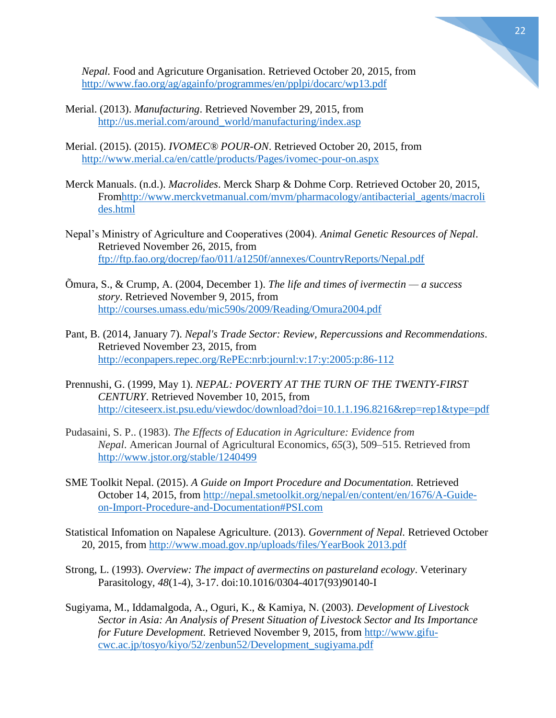

- Merial. (2013). *Manufacturing*. Retrieved November 29, 2015, from [http://us.merial.com/around\\_world/manufacturing/index.asp](http://us.merial.com/around_world/manufacturing/index.asp)
- Merial. (2015). (2015). *IVOMEC® POUR-ON*. Retrieved October 20, 2015, from <http://www.merial.ca/en/cattle/products/Pages/ivomec-pour-on.aspx>
- Merck Manuals. (n.d.). *Macrolides*. Merck Sharp & Dohme Corp. Retrieved October 20, 2015, Fro[mhttp://www.merckvetmanual.com/mvm/pharmacology/antibacterial\\_agents/macroli](http://www.merckvetmanual.com/mvm/pharmacology/antibacterial_agents/macrolides.html) [des.html](http://www.merckvetmanual.com/mvm/pharmacology/antibacterial_agents/macrolides.html)
- Nepal's Ministry of Agriculture and Cooperatives (2004). *Animal Genetic Resources of Nepal*. Retrieved November 26, 2015, from <ftp://ftp.fao.org/docrep/fao/011/a1250f/annexes/CountryReports/Nepal.pdf>
- Õmura, S., & Crump, A. (2004, December 1). *The life and times of ivermectin — a success story*. Retrieved November 9, 2015, from <http://courses.umass.edu/mic590s/2009/Reading/Omura2004.pdf>
- Pant, B. (2014, January 7). *Nepal's Trade Sector: Review, Repercussions and Recommendations*. Retrieved November 23, 2015, from <http://econpapers.repec.org/RePEc:nrb:journl:v:17:y:2005:p:86-112>
- Prennushi, G. (1999, May 1). *NEPAL: POVERTY AT THE TURN OF THE TWENTY-FIRST CENTURY*. Retrieved November 10, 2015, from <http://citeseerx.ist.psu.edu/viewdoc/download?doi=10.1.1.196.8216&rep=rep1&type=pdf>
- Pudasaini, S. P.. (1983). *The Effects of Education in Agriculture: Evidence from Nepal*. American Journal of Agricultural Economics, *65*(3), 509–515. Retrieved from <http://www.jstor.org/stable/1240499>
- SME Toolkit Nepal. (2015). *A Guide on Import Procedure and Documentation.* Retrieved October 14, 2015, from [http://nepal.smetoolkit.org/nepal/en/content/en/1676/A-Guide](http://nepal.smetoolkit.org/nepal/en/content/en/1676/A-Guide-on-Import-Procedure-and-Documentation#PSI.com)[on-Import-Procedure-and-Documentation#PSI.com](http://nepal.smetoolkit.org/nepal/en/content/en/1676/A-Guide-on-Import-Procedure-and-Documentation#PSI.com)
- Statistical Infomation on Napalese Agriculture. (2013). *Government of Nepal.* Retrieved October 20, 2015, from [http://www.moad.gov.np/uploads/files/YearBook 2013.pdf](http://www.moad.gov.np/uploads/files/YearBook%202013.pdf)
- Strong, L. (1993). *Overview: The impact of avermectins on pastureland ecology*. Veterinary Parasitology*, 48*(1-4), 3-17. doi:10.1016/0304-4017(93)90140-I
- Sugiyama, M., Iddamalgoda, A., Oguri, K., & Kamiya, N. (2003). *Development of Livestock Sector in Asia: An Analysis of Present Situation of Livestock Sector and Its Importance for Future Development.* Retrieved November 9, 2015, from [http://www.gifu](http://www.gifu-cwc.ac.jp/tosyo/kiyo/52/zenbun52/Development_sugiyama.pdf)[cwc.ac.jp/tosyo/kiyo/52/zenbun52/Development\\_sugiyama.pdf](http://www.gifu-cwc.ac.jp/tosyo/kiyo/52/zenbun52/Development_sugiyama.pdf)